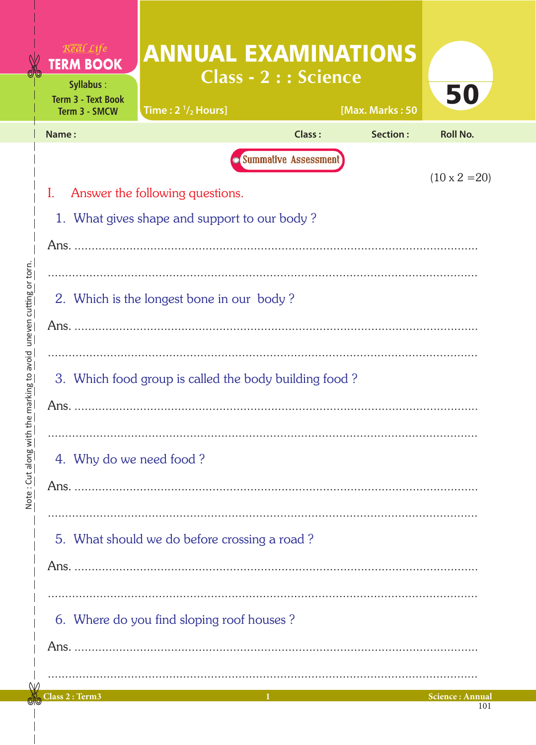| $R$ eal Life<br><b>TERM BOOK</b><br>Syllabus:                 | <b>ANNUAL EXAMINATIONS</b><br><b>Class - 2 : : Science</b> |                             |                 |                 |  |  |  |  |
|---------------------------------------------------------------|------------------------------------------------------------|-----------------------------|-----------------|-----------------|--|--|--|--|
| <b>Term 3 - Text Book</b><br>Term 3 - SMCW                    | Time: $2\frac{1}{2}$ Hours]                                |                             | [Max. Marks: 50 | 50              |  |  |  |  |
| Name:                                                         |                                                            | Class:                      | Section:        | <b>Roll No.</b> |  |  |  |  |
|                                                               |                                                            | <b>Summative Assessment</b> |                 |                 |  |  |  |  |
| $(10 \times 2 = 20)$<br>I.<br>Answer the following questions. |                                                            |                             |                 |                 |  |  |  |  |
|                                                               | 1. What gives shape and support to our body?               |                             |                 |                 |  |  |  |  |
|                                                               |                                                            |                             |                 |                 |  |  |  |  |
|                                                               |                                                            |                             |                 |                 |  |  |  |  |
|                                                               | 2. Which is the longest bone in our body?                  |                             |                 |                 |  |  |  |  |
|                                                               |                                                            |                             |                 |                 |  |  |  |  |
|                                                               |                                                            |                             |                 |                 |  |  |  |  |
| 3. Which food group is called the body building food?         |                                                            |                             |                 |                 |  |  |  |  |
| Ans.                                                          |                                                            |                             |                 |                 |  |  |  |  |
|                                                               |                                                            |                             |                 |                 |  |  |  |  |
| 4. Why do we need food?                                       |                                                            |                             |                 |                 |  |  |  |  |
|                                                               |                                                            |                             |                 |                 |  |  |  |  |
|                                                               |                                                            |                             |                 |                 |  |  |  |  |
| 5. What should we do before crossing a road?                  |                                                            |                             |                 |                 |  |  |  |  |
|                                                               |                                                            |                             |                 |                 |  |  |  |  |
|                                                               |                                                            |                             |                 |                 |  |  |  |  |
| 6. Where do you find sloping roof houses?                     |                                                            |                             |                 |                 |  |  |  |  |
| Ans.                                                          |                                                            |                             |                 |                 |  |  |  |  |
|                                                               |                                                            |                             |                 |                 |  |  |  |  |
|                                                               |                                                            |                             |                 |                 |  |  |  |  |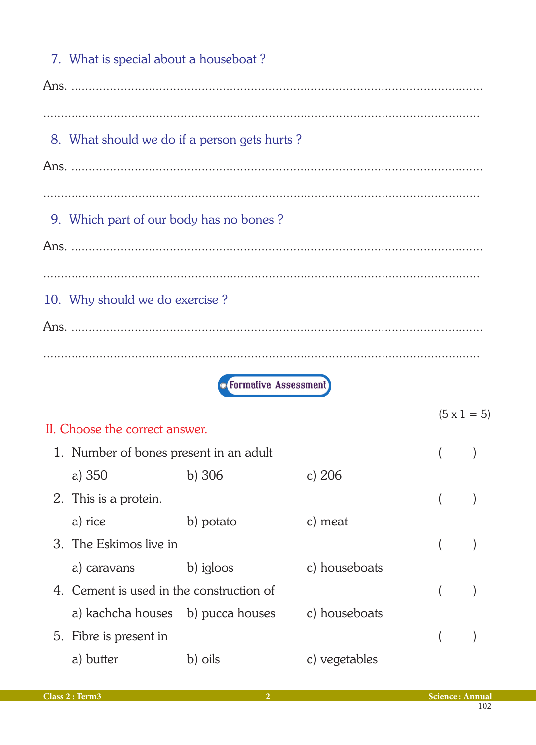| 7. What is special about a houseboat?    |                                              |               |                    |  |
|------------------------------------------|----------------------------------------------|---------------|--------------------|--|
|                                          |                                              |               |                    |  |
|                                          |                                              |               |                    |  |
|                                          | 8. What should we do if a person gets hurts? |               |                    |  |
|                                          |                                              |               |                    |  |
|                                          |                                              |               |                    |  |
| 9. Which part of our body has no bones?  |                                              |               |                    |  |
|                                          |                                              |               |                    |  |
|                                          |                                              |               |                    |  |
| 10. Why should we do exercise?           |                                              |               |                    |  |
|                                          |                                              |               |                    |  |
|                                          |                                              |               |                    |  |
|                                          | <b>• Formative Assessment</b>                |               |                    |  |
|                                          |                                              |               | $(5 \times 1 = 5)$ |  |
| II. Choose the correct answer.           |                                              |               |                    |  |
| 1. Number of bones present in an adult   |                                              |               |                    |  |
| a) 350                                   | $b)$ 306                                     | c) $206$      |                    |  |
| 2. This is a protein.                    |                                              |               |                    |  |
| a) rice                                  | b) potato                                    | c) meat       |                    |  |
| 3. The Eskimos live in                   |                                              |               | (                  |  |
| a) caravans                              | b) igloos                                    | c) houseboats |                    |  |
| 4. Cement is used in the construction of |                                              |               |                    |  |
| a) kachcha houses b) pucca houses        |                                              | c) houseboats |                    |  |
| 5. Fibre is present in                   |                                              |               |                    |  |
| a) butter                                | b) oils                                      | c) vegetables |                    |  |
|                                          |                                              |               |                    |  |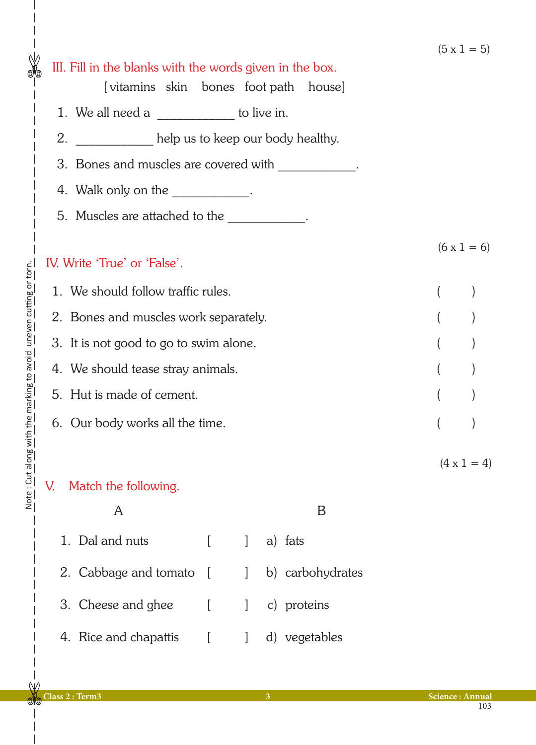|                                        |                                                                                                                                                                                                                                                                                                                                                                                                                    |        |              |         |                  |  |  | $ C = 1 X C $      |
|----------------------------------------|--------------------------------------------------------------------------------------------------------------------------------------------------------------------------------------------------------------------------------------------------------------------------------------------------------------------------------------------------------------------------------------------------------------------|--------|--------------|---------|------------------|--|--|--------------------|
|                                        | III. Fill in the blanks with the words given in the box.<br>[vitamins skin bones foot path house]                                                                                                                                                                                                                                                                                                                  |        |              |         |                  |  |  |                    |
|                                        | 1. We all need a $\frac{1}{\sqrt{1-\frac{1}{\sqrt{1-\frac{1}{\sqrt{1-\frac{1}{\sqrt{1-\frac{1}{\sqrt{1-\frac{1}{\sqrt{1-\frac{1}{\sqrt{1-\frac{1}{\sqrt{1-\frac{1}{\sqrt{1-\frac{1}{\sqrt{1-\frac{1}{\sqrt{1-\frac{1}{\sqrt{1-\frac{1}{\sqrt{1-\frac{1}{\sqrt{1-\frac{1}{\sqrt{1-\frac{1}{\sqrt{1-\frac{1}{\sqrt{1-\frac{1}{\sqrt{1-\frac{1}{\sqrt{1-\frac{1}{\sqrt{1-\frac{1}{\sqrt{1-\frac{1}{\sqrt{1-\frac{1}{$ |        |              |         |                  |  |  |                    |
| 2.                                     | help us to keep our body healthy.<br>3. Bones and muscles are covered with ____________.                                                                                                                                                                                                                                                                                                                           |        |              |         |                  |  |  |                    |
|                                        |                                                                                                                                                                                                                                                                                                                                                                                                                    |        |              |         |                  |  |  |                    |
|                                        | 4. Walk only on the ____________.                                                                                                                                                                                                                                                                                                                                                                                  |        |              |         |                  |  |  |                    |
|                                        | 5. Muscles are attached to the ___________.                                                                                                                                                                                                                                                                                                                                                                        |        |              |         |                  |  |  |                    |
|                                        |                                                                                                                                                                                                                                                                                                                                                                                                                    |        |              |         |                  |  |  |                    |
|                                        | IV. Write 'True' or 'False'.                                                                                                                                                                                                                                                                                                                                                                                       |        |              |         |                  |  |  | $(6 \times 1 = 6)$ |
| 1. We should follow traffic rules.     |                                                                                                                                                                                                                                                                                                                                                                                                                    |        |              |         |                  |  |  |                    |
| 2. Bones and muscles work separately.  |                                                                                                                                                                                                                                                                                                                                                                                                                    |        |              |         |                  |  |  |                    |
| 3. It is not good to go to swim alone. |                                                                                                                                                                                                                                                                                                                                                                                                                    |        |              |         |                  |  |  |                    |
| 4. We should tease stray animals.      |                                                                                                                                                                                                                                                                                                                                                                                                                    |        |              |         |                  |  |  |                    |
| 5. Hut is made of cement.              |                                                                                                                                                                                                                                                                                                                                                                                                                    |        |              |         |                  |  |  |                    |
|                                        |                                                                                                                                                                                                                                                                                                                                                                                                                    |        |              |         |                  |  |  |                    |
| 6. Our body works all the time.        |                                                                                                                                                                                                                                                                                                                                                                                                                    |        |              |         |                  |  |  |                    |
|                                        |                                                                                                                                                                                                                                                                                                                                                                                                                    |        |              |         |                  |  |  | $(4 \times 1 = 4)$ |
| V.                                     | Match the following.                                                                                                                                                                                                                                                                                                                                                                                               |        |              |         |                  |  |  |                    |
|                                        | A                                                                                                                                                                                                                                                                                                                                                                                                                  |        |              |         | B                |  |  |                    |
|                                        | 1. Dal and nuts                                                                                                                                                                                                                                                                                                                                                                                                    | ſ      | $\mathbf{I}$ | a) fats |                  |  |  |                    |
|                                        | 2. Cabbage and tomato                                                                                                                                                                                                                                                                                                                                                                                              | $\Box$ | $\mathbf{I}$ |         | b) carbohydrates |  |  |                    |
|                                        | 3. Cheese and ghee                                                                                                                                                                                                                                                                                                                                                                                                 | L      | 1            |         | c) proteins      |  |  |                    |
|                                        | 4. Rice and chapattis                                                                                                                                                                                                                                                                                                                                                                                              |        |              |         | d) vegetables    |  |  |                    |